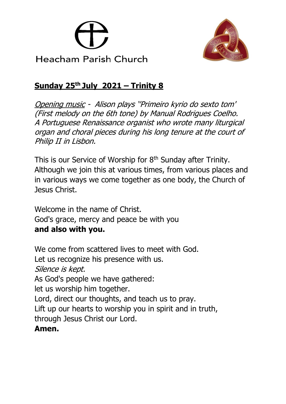



# **Sunday 25th July 2021 – Trinity 8**

Opening music - Alison plays ''Primeiro kyrio do sexto tom' (First melody on the 6th tone) by Manual Rodrigues Coelho. A Portuguese Renaissance organist who wrote many liturgical organ and choral pieces during his long tenure at the court of Philip II in Lisbon.

This is our Service of Worship for 8<sup>th</sup> Sunday after Trinity. Although we join this at various times, from various places and in various ways we come together as one body, the Church of Jesus Christ.

Welcome in the name of Christ. God's grace, mercy and peace be with you **and also with you.**

We come from scattered lives to meet with God. Let us recognize his presence with us. Silence is kept. As God's people we have gathered: let us worship him together. Lord, direct our thoughts, and teach us to pray. Lift up our hearts to worship you in spirit and in truth, through Jesus Christ our Lord. **Amen.**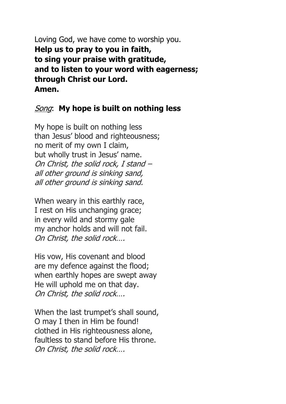Loving God, we have come to worship you. **Help us to pray to you in faith, to sing your praise with gratitude, and to listen to your word with eagerness; through Christ our Lord. Amen.**

#### Song: **My hope is built on nothing less**

My hope is built on nothing less than Jesus' blood and righteousness; no merit of my own I claim, but wholly trust in Jesus' name. On Christ, the solid rock, I stand – all other ground is sinking sand, all other ground is sinking sand.

When weary in this earthly race, I rest on His unchanging grace; in every wild and stormy gale my anchor holds and will not fail. On Christ, the solid rock….

His vow, His covenant and blood are my defence against the flood; when earthly hopes are swept away He will uphold me on that day. On Christ, the solid rock….

When the last trumpet's shall sound, O may I then in Him be found! clothed in His righteousness alone, faultless to stand before His throne. On Christ, the solid rock….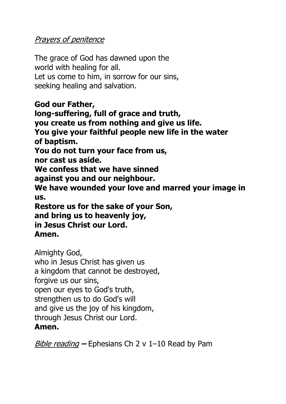## Prayers of penitence

The grace of God has dawned upon the world with healing for all. Let us come to him, in sorrow for our sins, seeking healing and salvation.

**God our Father,**

**long-suffering, full of grace and truth, you create us from nothing and give us life. You give your faithful people new life in the water of baptism. You do not turn your face from us, nor cast us aside. We confess that we have sinned against you and our neighbour. We have wounded your love and marred your image in us. Restore us for the sake of your Son, and bring us to heavenly joy, in Jesus Christ our Lord. Amen.**

Almighty God,

who in Jesus Christ has given us a kingdom that cannot be destroyed, forgive us our sins, open our eyes to God's truth, strengthen us to do God's will and give us the joy of his kingdom, through Jesus Christ our Lord. **Amen.**

Bible reading **–** Ephesians Ch 2 v 1–10 Read by Pam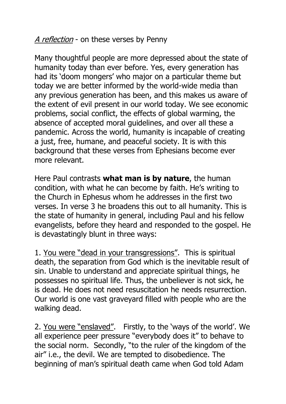#### A reflection - on these verses by Penny

Many thoughtful people are more depressed about the state of humanity today than ever before. Yes, every generation has had its 'doom mongers' who major on a particular theme but today we are better informed by the world-wide media than any previous generation has been, and this makes us aware of the extent of evil present in our world today. We see economic problems, social conflict, the effects of global warming, the absence of accepted moral guidelines, and over all these a pandemic. Across the world, humanity is incapable of creating a just, free, humane, and peaceful society. It is with this background that these verses from Ephesians become ever more relevant.

Here Paul contrasts **what man is by nature**, the human condition, with what he can become by faith. He's writing to the Church in Ephesus whom he addresses in the first two verses. In verse 3 he broadens this out to all humanity. This is the state of humanity in general, including Paul and his fellow evangelists, before they heard and responded to the gospel. He is devastatingly blunt in three ways:

1. You were "dead in your transgressions". This is spiritual death, the separation from God which is the inevitable result of sin. Unable to understand and appreciate spiritual things, he possesses no spiritual life. Thus, the unbeliever is not sick, he is dead. He does not need resuscitation he needs resurrection. Our world is one vast graveyard filled with people who are the walking dead.

2. You were "enslaved". Firstly, to the 'ways of the world'. We all experience peer pressure "everybody does it" to behave to the social norm. Secondly, "to the ruler of the kingdom of the air" i.e., the devil. We are tempted to disobedience. The beginning of man's spiritual death came when God told Adam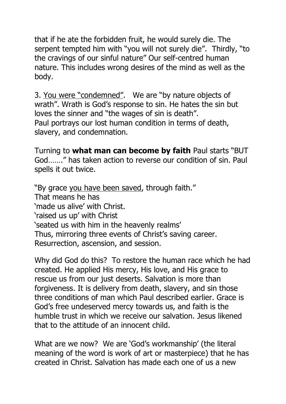that if he ate the forbidden fruit, he would surely die. The serpent tempted him with "you will not surely die". Thirdly, "to the cravings of our sinful nature" Our self-centred human nature. This includes wrong desires of the mind as well as the body.

3. You were "condemned". We are "by nature objects of wrath". Wrath is God's response to sin. He hates the sin but loves the sinner and "the wages of sin is death". Paul portrays our lost human condition in terms of death, slavery, and condemnation.

Turning to **what man can become by faith** Paul starts "BUT God……." has taken action to reverse our condition of sin. Paul spells it out twice.

"By grace you have been saved, through faith." That means he has 'made us alive' with Christ. 'raised us up' with Christ 'seated us with him in the heavenly realms' Thus, mirroring three events of Christ's saving career. Resurrection, ascension, and session.

Why did God do this? To restore the human race which he had created. He applied His mercy, His love, and His grace to rescue us from our just deserts. Salvation is more than forgiveness. It is delivery from death, slavery, and sin those three conditions of man which Paul described earlier. Grace is God's free undeserved mercy towards us, and faith is the humble trust in which we receive our salvation. Jesus likened that to the attitude of an innocent child.

What are we now? We are 'God's workmanship' (the literal meaning of the word is work of art or masterpiece) that he has created in Christ. Salvation has made each one of us a new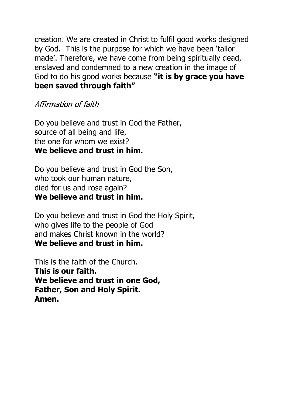creation. We are created in Christ to fulfil good works designed by God. This is the purpose for which we have been 'tailor made'. Therefore, we have come from being spiritually dead, enslaved and condemned to a new creation in the image of God to do his good works because **"it is by grace you have been saved through faith"** 

## Affirmation of faith

Do you believe and trust in God the Father, source of all being and life, the one for whom we exist? **We believe and trust in him.**

Do you believe and trust in God the Son, who took our human nature, died for us and rose again? **We believe and trust in him.**

Do you believe and trust in God the Holy Spirit, who gives life to the people of God and makes Christ known in the world? **We believe and trust in him.**

This is the faith of the Church. **This is our faith. We believe and trust in one God, Father, Son and Holy Spirit. Amen.**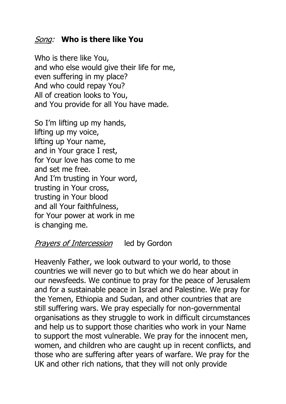# Song: **Who is there like You**

Who is there like You, and who else would give their life for me, even suffering in my place? And who could repay You? All of creation looks to You, and You provide for all You have made.

So I'm lifting up my hands, lifting up my voice, lifting up Your name, and in Your grace I rest, for Your love has come to me and set me free. And I'm trusting in Your word, trusting in Your cross, trusting in Your blood and all Your faithfulness, for Your power at work in me is changing me.

#### Prayers of Intercession led by Gordon

Heavenly Father, we look outward to your world, to those countries we will never go to but which we do hear about in our newsfeeds. We continue to pray for the peace of Jerusalem and for a sustainable peace in Israel and Palestine. We pray for the Yemen, Ethiopia and Sudan, and other countries that are still suffering wars. We pray especially for non-governmental organisations as they struggle to work in difficult circumstances and help us to support those charities who work in your Name to support the most vulnerable. We pray for the innocent men, women, and children who are caught up in recent conflicts, and those who are suffering after years of warfare. We pray for the UK and other rich nations, that they will not only provide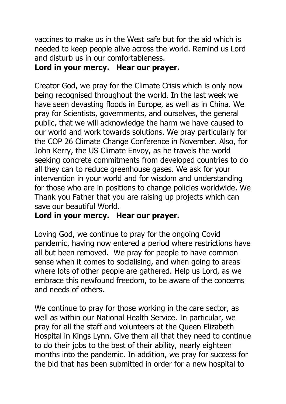vaccines to make us in the West safe but for the aid which is needed to keep people alive across the world. Remind us Lord and disturb us in our comfortableness.

# **Lord in your mercy. Hear our prayer.**

Creator God, we pray for the Climate Crisis which is only now being recognised throughout the world. In the last week we have seen devasting floods in Europe, as well as in China. We pray for Scientists, governments, and ourselves, the general public, that we will acknowledge the harm we have caused to our world and work towards solutions. We pray particularly for the COP 26 Climate Change Conference in November. Also, for John Kerry, the US Climate Envoy, as he travels the world seeking concrete commitments from developed countries to do all they can to reduce greenhouse gases. We ask for your intervention in your world and for wisdom and understanding for those who are in positions to change policies worldwide. We Thank you Father that you are raising up projects which can save our beautiful World.

## **Lord in your mercy. Hear our prayer.**

Loving God, we continue to pray for the ongoing Covid pandemic, having now entered a period where restrictions have all but been removed. We pray for people to have common sense when it comes to socialising, and when going to areas where lots of other people are gathered. Help us Lord, as we embrace this newfound freedom, to be aware of the concerns and needs of others.

We continue to pray for those working in the care sector, as well as within our National Health Service. In particular, we pray for all the staff and volunteers at the Queen Elizabeth Hospital in Kings Lynn. Give them all that they need to continue to do their jobs to the best of their ability, nearly eighteen months into the pandemic. In addition, we pray for success for the bid that has been submitted in order for a new hospital to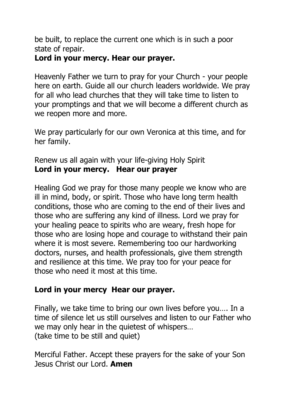be built, to replace the current one which is in such a poor state of repair.

#### **Lord in your mercy. Hear our prayer.**

Heavenly Father we turn to pray for your Church - your people here on earth. Guide all our church leaders worldwide. We pray for all who lead churches that they will take time to listen to your promptings and that we will become a different church as we reopen more and more.

We pray particularly for our own Veronica at this time, and for her family.

Renew us all again with your life-giving Holy Spirit **Lord in your mercy. Hear our prayer**

Healing God we pray for those many people we know who are ill in mind, body, or spirit. Those who have long term health conditions, those who are coming to the end of their lives and those who are suffering any kind of illness. Lord we pray for your healing peace to spirits who are weary, fresh hope for those who are losing hope and courage to withstand their pain where it is most severe. Remembering too our hardworking doctors, nurses, and health professionals, give them strength and resilience at this time. We pray too for your peace for those who need it most at this time.

## **Lord in your mercy Hear our prayer.**

Finally, we take time to bring our own lives before you…. In a time of silence let us still ourselves and listen to our Father who we may only hear in the quietest of whispers... (take time to be still and quiet)

Merciful Father. Accept these prayers for the sake of your Son Jesus Christ our Lord. **Amen**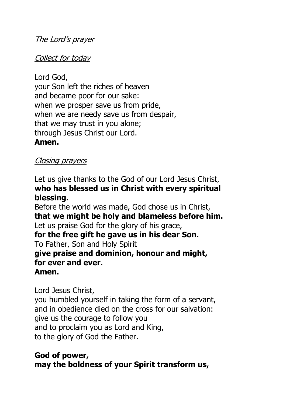#### The Lord's prayer

#### Collect for today

Lord God, your Son left the riches of heaven and became poor for our sake: when we prosper save us from pride, when we are needy save us from despair, that we may trust in you alone; through Jesus Christ our Lord. **Amen.**

## Closing prayers

Let us give thanks to the God of our Lord Jesus Christ, **who has blessed us in Christ with every spiritual blessing.**

Before the world was made, God chose us in Christ, **that we might be holy and blameless before him.** Let us praise God for the glory of his grace, **for the free gift he gave us in his dear Son.** To Father, Son and Holy Spirit **give praise and dominion, honour and might, for ever and ever. Amen.**

Lord Jesus Christ, you humbled yourself in taking the form of a servant, and in obedience died on the cross for our salvation: give us the courage to follow you and to proclaim you as Lord and King, to the glory of God the Father.

# **God of power, may the boldness of your Spirit transform us,**